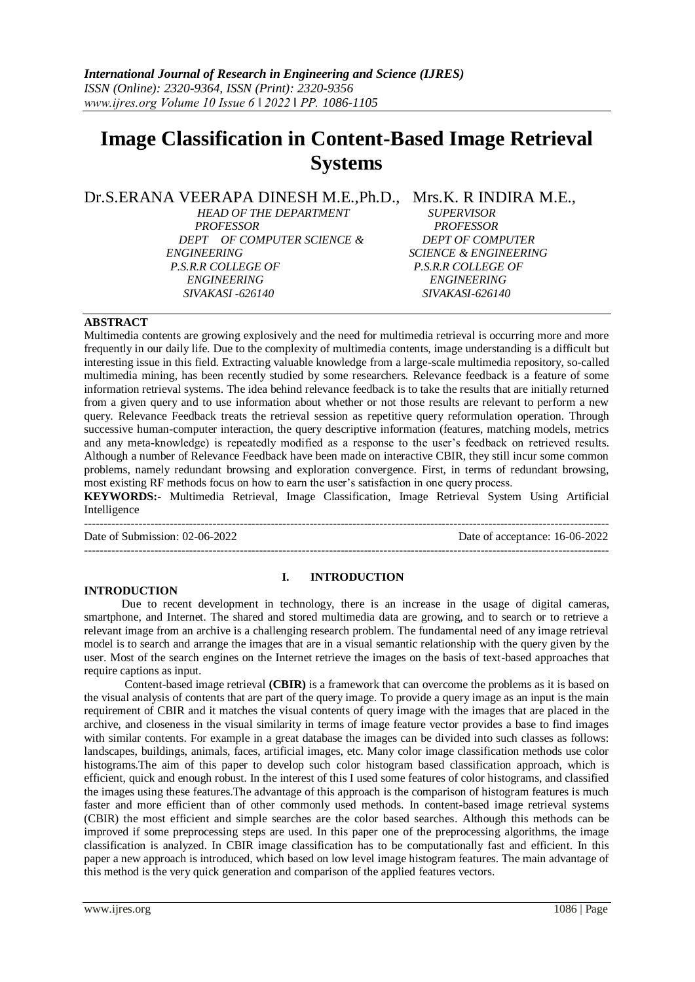# **Image Classification in Content-Based Image Retrieval Systems**

# Dr.S.ERANA VEERAPA DINESH M.E.,Ph.D., Mrs.K. R INDIRA M.E.,

*HEAD OF THE DEPARTMENT SUPERVISOR PROFESSOR PROFESSOR DEPT OF COMPUTER SCIENCE & DEPT OF COMPUTER ENGINEERING SCIENCE & ENGINEERING P.S.R.R COLLEGE OF P.S.R.R COLLEGE OF ENGINEERING ENGINEERING SIVAKASI -626140 SIVAKASI-626140*

# **ABSTRACT**

Multimedia contents are growing explosively and the need for multimedia retrieval is occurring more and more frequently in our daily life. Due to the complexity of multimedia contents, image understanding is a difficult but interesting issue in this field. Extracting valuable knowledge from a large-scale multimedia repository, so-called multimedia mining, has been recently studied by some researchers. Relevance feedback is a feature of some information retrieval systems. The idea behind relevance feedback is to take the results that are initially returned from a given query and to use information about whether or not those results are relevant to perform a new query. Relevance Feedback treats the retrieval session as repetitive query reformulation operation. Through successive human-computer interaction, the query descriptive information (features, matching models, metrics and any meta-knowledge) is repeatedly modified as a response to the user's feedback on retrieved results. Although a number of Relevance Feedback have been made on interactive CBIR, they still incur some common problems, namely redundant browsing and exploration convergence. First, in terms of redundant browsing, most existing RF methods focus on how to earn the user's satisfaction in one query process.

**KEYWORDS:-** Multimedia Retrieval, Image Classification, Image Retrieval System Using Artificial Intelligence

--------------------------------------------------------------------------------------------------------------------------------------- Date of Submission: 02-06-2022 Date of acceptance: 16-06-2022

# **INTRODUCTION**

# **I. INTRODUCTION**

---------------------------------------------------------------------------------------------------------------------------------------

 Due to recent development in technology, there is an increase in the usage of digital cameras, smartphone, and Internet. The shared and stored multimedia data are growing, and to search or to retrieve a relevant image from an archive is a challenging research problem. The fundamental need of any image retrieval model is to search and arrange the images that are in a visual semantic relationship with the query given by the user. Most of the search engines on the Internet retrieve the images on the basis of text-based approaches that require captions as input.

 Content-based image retrieval **(CBIR)** is a framework that can overcome the problems as it is based on the visual analysis of contents that are part of the query image. To provide a query image as an input is the main requirement of CBIR and it matches the visual contents of query image with the images that are placed in the archive, and closeness in the visual similarity in terms of image feature vector provides a base to find images with similar contents. For example in a great database the images can be divided into such classes as follows: landscapes, buildings, animals, faces, artificial images, etc. Many color image classification methods use color histograms.The aim of this paper to develop such color histogram based classification approach, which is efficient, quick and enough robust. In the interest of this I used some features of color histograms, and classified the images using these features.The advantage of this approach is the comparison of histogram features is much faster and more efficient than of other commonly used methods. In content-based image retrieval systems (CBIR) the most efficient and simple searches are the color based searches. Although this methods can be improved if some preprocessing steps are used. In this paper one of the preprocessing algorithms, the image classification is analyzed. In CBIR image classification has to be computationally fast and efficient. In this paper a new approach is introduced, which based on low level image histogram features. The main advantage of this method is the very quick generation and comparison of the applied features vectors.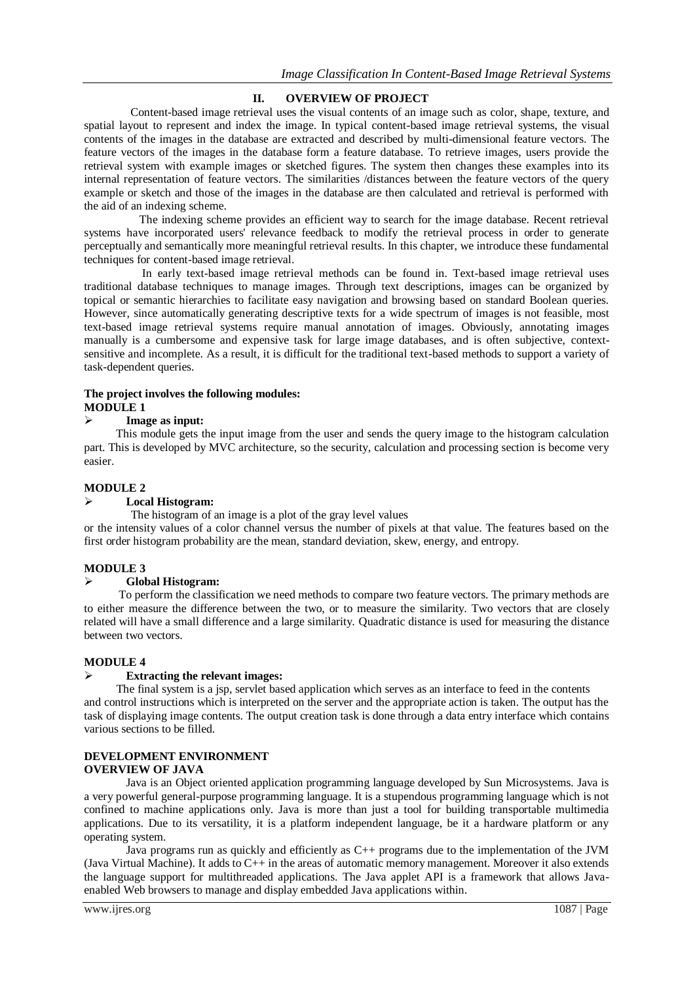# **II. OVERVIEW OF PROJECT**

 Content-based image retrieval uses the visual contents of an image such as color, shape, texture, and spatial layout to represent and index the image. In typical content-based image retrieval systems, the visual contents of the images in the database are extracted and described by multi-dimensional feature vectors. The feature vectors of the images in the database form a feature database. To retrieve images, users provide the retrieval system with example images or sketched figures. The system then changes these examples into its internal representation of feature vectors. The similarities /distances between the feature vectors of the query example or sketch and those of the images in the database are then calculated and retrieval is performed with the aid of an indexing scheme.

 The indexing scheme provides an efficient way to search for the image database. Recent retrieval systems have incorporated users' relevance feedback to modify the retrieval process in order to generate perceptually and semantically more meaningful retrieval results. In this chapter, we introduce these fundamental techniques for content-based image retrieval.

 In early text-based image retrieval methods can be found in. Text-based image retrieval uses traditional database techniques to manage images. Through text descriptions, images can be organized by topical or semantic hierarchies to facilitate easy navigation and browsing based on standard Boolean queries. However, since automatically generating descriptive texts for a wide spectrum of images is not feasible, most text-based image retrieval systems require manual annotation of images. Obviously, annotating images manually is a cumbersome and expensive task for large image databases, and is often subjective, contextsensitive and incomplete. As a result, it is difficult for the traditional text-based methods to support a variety of task-dependent queries.

#### **The project involves the following modules: MODULE 1**

#### **Image as input:**

 This module gets the input image from the user and sends the query image to the histogram calculation part. This is developed by MVC architecture, so the security, calculation and processing section is become very easier.

#### **MODULE 2**

#### **Local Histogram:**

The histogram of an image is a plot of the gray level values

or the intensity values of a color channel versus the number of pixels at that value. The features based on the first order histogram probability are the mean, standard deviation, skew, energy, and entropy.

#### **MODULE 3**

#### **Global Histogram:**

 To perform the classification we need methods to compare two feature vectors. The primary methods are to either measure the difference between the two, or to measure the similarity. Two vectors that are closely related will have a small difference and a large similarity. Quadratic distance is used for measuring the distance between two vectors.

# **MODULE 4**

#### **Extracting the relevant images:**

 The final system is a jsp, servlet based application which serves as an interface to feed in the contents and control instructions which is interpreted on the server and the appropriate action is taken. The output has the task of displaying image contents. The output creation task is done through a data entry interface which contains various sections to be filled.

# **DEVELOPMENT ENVIRONMENT OVERVIEW OF JAVA**

Java is an Object oriented application programming language developed by Sun Microsystems. Java is a very powerful general-purpose programming language. It is a stupendous programming language which is not confined to machine applications only. Java is more than just a tool for building transportable multimedia applications. Due to its versatility, it is a platform independent language, be it a hardware platform or any operating system.

Java programs run as quickly and efficiently as C++ programs due to the implementation of the JVM (Java Virtual Machine). It adds to C++ in the areas of automatic memory management. Moreover it also extends the language support for multithreaded applications. The Java applet API is a framework that allows Javaenabled Web browsers to manage and display embedded Java applications within.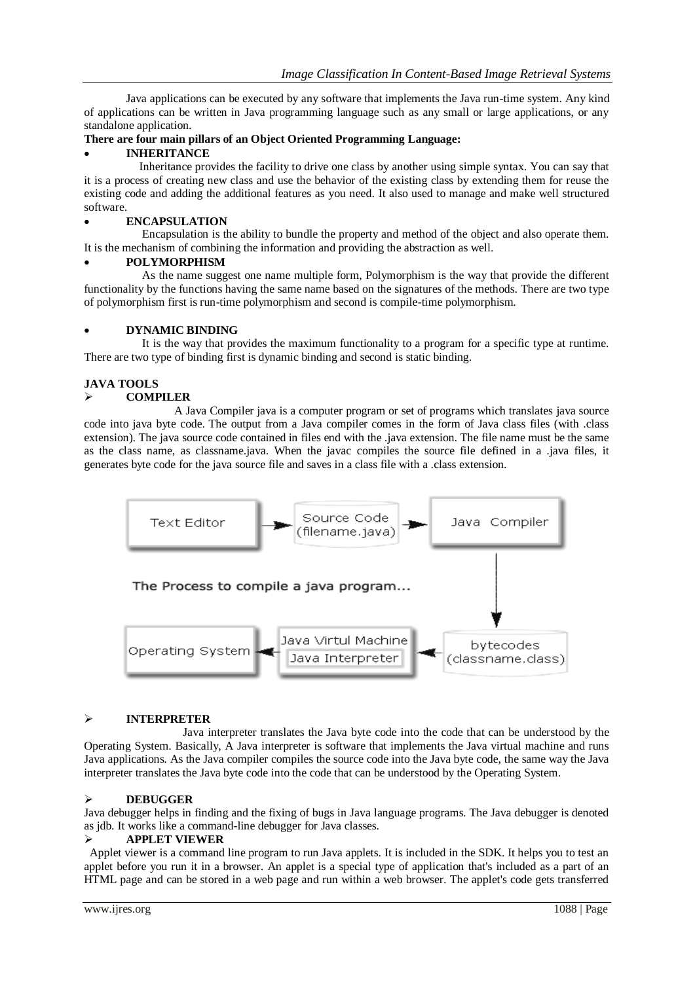Java applications can be executed by any software that implements the Java run-time system. Any kind of applications can be written in Java programming language such as any small or large applications, or any standalone application.

# **There are four main pillars of an Object Oriented Programming Language:**

# **INHERITANCE**

 Inheritance provides the facility to drive one class by another using simple syntax. You can say that it is a process of creating new class and use the behavior of the existing class by extending them for reuse the existing code and adding the additional features as you need. It also used to manage and make well structured software.

# **ENCAPSULATION**

 Encapsulation is the ability to bundle the property and method of the object and also operate them. It is the mechanism of combining the information and providing the abstraction as well.

# **POLYMORPHISM**

 As the name suggest one name multiple form, Polymorphism is the way that provide the different functionality by the functions having the same name based on the signatures of the methods. There are two type of polymorphism first is run-time polymorphism and second is compile-time polymorphism.

# **DYNAMIC BINDING**

 It is the way that provides the maximum functionality to a program for a specific type at runtime. There are two type of binding first is dynamic binding and second is static binding.

# **JAVA TOOLS**

# **COMPILER**

 A Java Compiler java is a computer program or set of programs which translates java source code into java byte code. The output from a Java compiler comes in the form of Java class files (with .class extension). The java source code contained in files end with the .java extension. The file name must be the same as the class name, as classname.java. When the javac compiles the source file defined in a .java files, it generates byte code for the java source file and saves in a class file with a .class extension.



# **INTERPRETER**

 Java interpreter translates the Java byte code into the code that can be understood by the Operating System. Basically, A Java interpreter is software that implements the Java virtual machine and runs Java applications. As the Java compiler compiles the source code into the Java byte code, the same way the Java interpreter translates the Java byte code into the code that can be understood by the Operating System.

# **DEBUGGER**

Java debugger helps in finding and the fixing of bugs in Java language programs. The Java debugger is denoted as jdb. It works like a command-line debugger for Java classes.

# **APPLET VIEWER**

Applet viewer is a command line program to run Java applets. It is included in the SDK. It helps you to test an applet before you run it in a browser. An applet is a special type of application that's included as a part of an HTML page and can be stored in a web page and run within a web browser. The applet's code gets transferred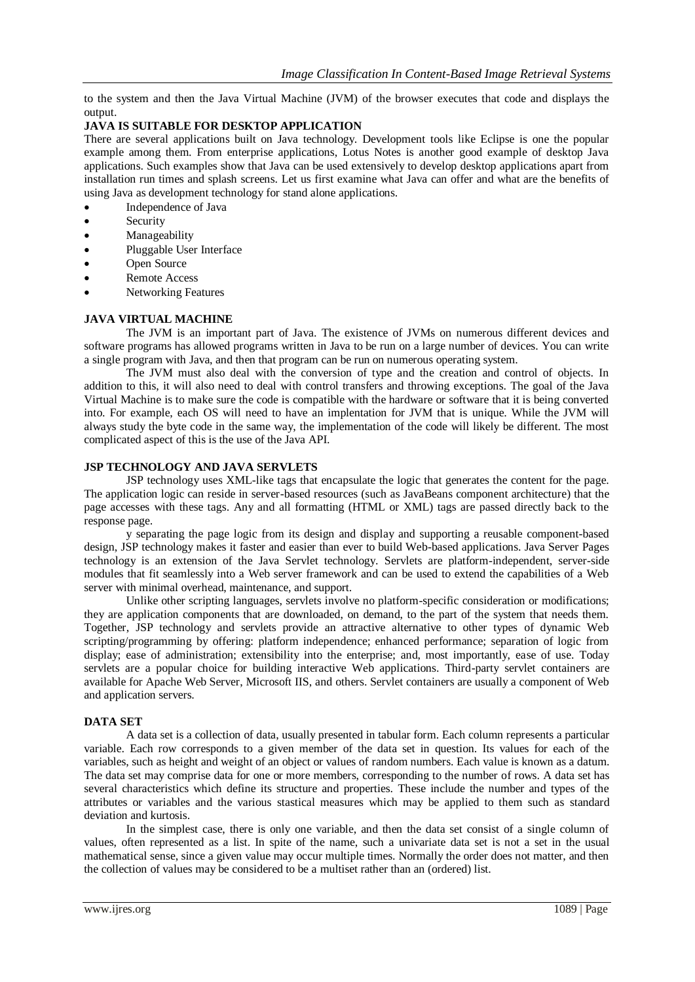to the system and then the Java Virtual Machine (JVM) of the browser executes that code and displays the output.

# **JAVA IS SUITABLE FOR DESKTOP APPLICATION**

There are several applications built on Java technology. Development tools like Eclipse is one the popular example among them. From enterprise applications, Lotus Notes is another good example of desktop Java applications. Such examples show that Java can be used extensively to develop desktop applications apart from installation run times and splash screens. Let us first examine what Java can offer and what are the benefits of using Java as development technology for stand alone applications.

- Independence of Java
- Security
- Manageability
- Pluggable User Interface
- Open Source
- Remote Access
- Networking Features

#### **JAVA VIRTUAL MACHINE**

The JVM is an important part of Java. The existence of JVMs on numerous different devices and software programs has allowed programs written in Java to be run on a large number of devices. You can write a single program with Java, and then that program can be run on numerous operating system.

The JVM must also deal with the conversion of type and the creation and control of objects. In addition to this, it will also need to deal with control transfers and throwing exceptions. The goal of the Java Virtual Machine is to make sure the code is compatible with the hardware or software that it is being converted into. For example, each OS will need to have an implentation for JVM that is unique. While the JVM will always study the byte code in the same way, the implementation of the code will likely be different. The most complicated aspect of this is the use of the Java API.

# **JSP TECHNOLOGY AND JAVA SERVLETS**

JSP technology uses XML-like tags that encapsulate the logic that generates the content for the page. The application logic can reside in server-based resources (such as [JavaBeans component architecture\)](http://java.sun.com/javase/technologies/desktop/javabeans/index.jsp) that the page accesses with these tags. Any and all formatting (HTML or XML) tags are passed directly back to the response page.

y separating the page logic from its design and display and supporting a reusable component-based design, JSP technology makes it faster and easier than ever to build Web-based applications. Java Server Pages technology is an extension of the [Java Servlet technology.](http://java.sun.com/products/servlet/index.jsp) Servlets are platform-independent, server-side modules that fit seamlessly into a Web server framework and can be used to extend the capabilities of a Web server with minimal overhead, maintenance, and support.

Unlike other scripting languages, servlets involve no platform-specific consideration or modifications; they are application components that are downloaded, on demand, to the part of the system that needs them. Together, JSP technology and servlets provide an attractive alternative to other types of dynamic Web scripting/programming by offering: platform independence; enhanced performance; separation of logic from display; ease of administration; extensibility into the enterprise; and, most importantly, ease of use. Today servlets are a popular choice for building interactive Web applications. Third-party servlet containers are available for Apache Web Server, Microsoft IIS, and [others.](http://java.sun.com/products/servlet/industry.html) Servlet containers are usually a component of Web and application servers.

#### **DATA SET**

A data set is a collection of data, usually presented in tabular form. Each column represents a particular variable. Each row corresponds to a given member of the data set in question. Its values for each of the variables, such as height and weight of an object or values of random numbers. Each value is known as a datum. The data set may comprise data for one or more members, corresponding to the number of rows. A data set has several characteristics which define its structure and properties. These include the number and types of the attributes or variables and the various stastical measures which may be applied to them such as standard deviation and kurtosis.

In the simplest case, there is only one variable, and then the data set consist of a single column of values, often represented as a list. In spite of the name, such a univariate data set is not a set in the usual mathematical sense, since a given value may occur multiple times. Normally the order does not matter, and then the collection of values may be considered to be a multiset rather than an (ordered) list.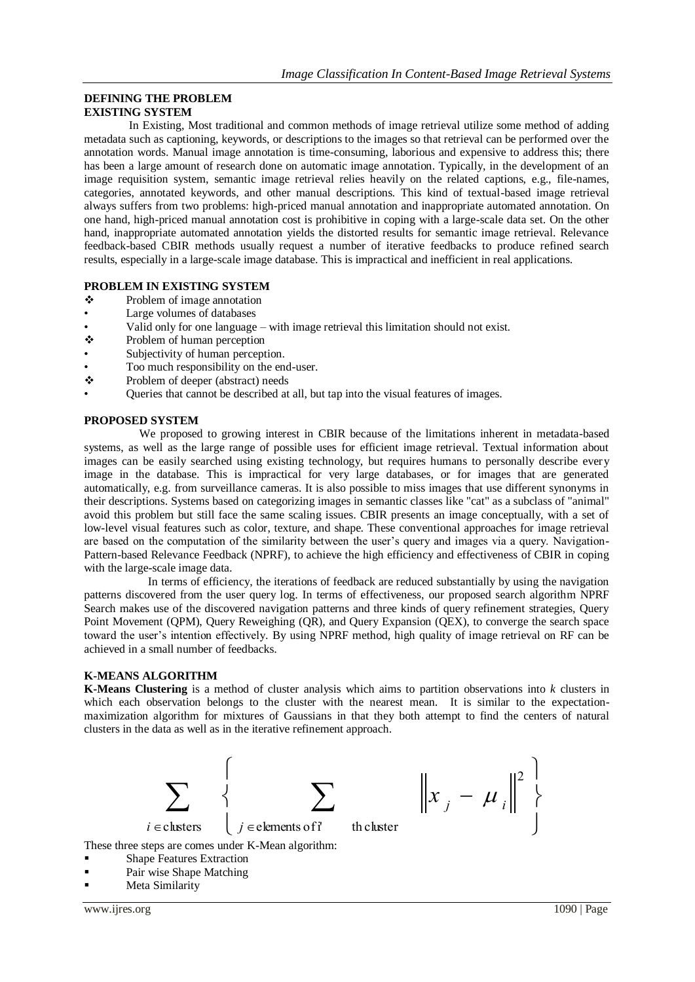# **DEFINING THE PROBLEM EXISTING SYSTEM**

In Existing, Most traditional and common methods of image retrieval utilize some method of adding metadata such as captioning, keywords, or descriptions to the images so that retrieval can be performed over the annotation words. Manual image annotation is time-consuming, laborious and expensive to address this; there has been a large amount of research done on automatic image annotation. Typically, in the development of an image requisition system, semantic image retrieval relies heavily on the related captions, e.g., file-names, categories, annotated keywords, and other manual descriptions. This kind of textual-based image retrieval always suffers from two problems: high-priced manual annotation and inappropriate automated annotation. On one hand, high-priced manual annotation cost is prohibitive in coping with a large-scale data set. On the other hand, inappropriate automated annotation yields the distorted results for semantic image retrieval. Relevance feedback-based CBIR methods usually request a number of iterative feedbacks to produce refined search results, especially in a large-scale image database. This is impractical and inefficient in real applications.

# **PROBLEM IN EXISTING SYSTEM**<br> **•** Problem of image annotation

- Problem of image annotation
- Large volumes of databases
- Valid only for one language with image retrieval this limitation should not exist.
- Problem of human perception
- Subjectivity of human perception.
- Too much responsibility on the end-user.
- Problem of deeper (abstract) needs
- Queries that cannot be described at all, but tap into the visual features of images.

#### **PROPOSED SYSTEM**

 We proposed to growing interest in CBIR because of the limitations inherent in metadata-based systems, as well as the large range of possible uses for efficient image retrieval. Textual information about images can be easily searched using existing technology, but requires humans to personally describe every image in the database. This is impractical for very large databases, or for images that are generated automatically, e.g. from surveillance cameras. It is also possible to miss images that use different synonyms in their descriptions. Systems based on categorizing images in semantic classes like "cat" as a subclass of "animal" avoid this problem but still face the same scaling issues. CBIR presents an image conceptually, with a set of low-level visual features such as color, texture, and shape. These conventional approaches for image retrieval are based on the computation of the similarity between the user's query and images via a query. Navigation-Pattern-based Relevance Feedback (NPRF), to achieve the high efficiency and effectiveness of CBIR in coping with the large-scale image data.

 In terms of efficiency, the iterations of feedback are reduced substantially by using the navigation patterns discovered from the user query log. In terms of effectiveness, our proposed search algorithm NPRF Search makes use of the discovered navigation patterns and three kinds of query refinement strategies, Query Point Movement (QPM), Query Reweighing (QR), and Query Expansion (QEX), to converge the search space toward the user's intention effectively. By using NPRF method, high quality of image retrieval on RF can be achieved in a small number of feedbacks.

# **K-MEANS ALGORITHM**

**K-Means Clustering** is a method of cluster analysis which aims to partition observations into *k* clusters in which each observation belongs to the cluster with the nearest mean. It is similar to the expectationmaximization algorithm for mixtures of Gaussians in that they both attempt to find the centers of natural clusters in the data as well as in the iterative refinement approach.



These three steps are comes under K-Mean algorithm:

- Shape Features Extraction
- Pair wise Shape Matching
- Meta Similarity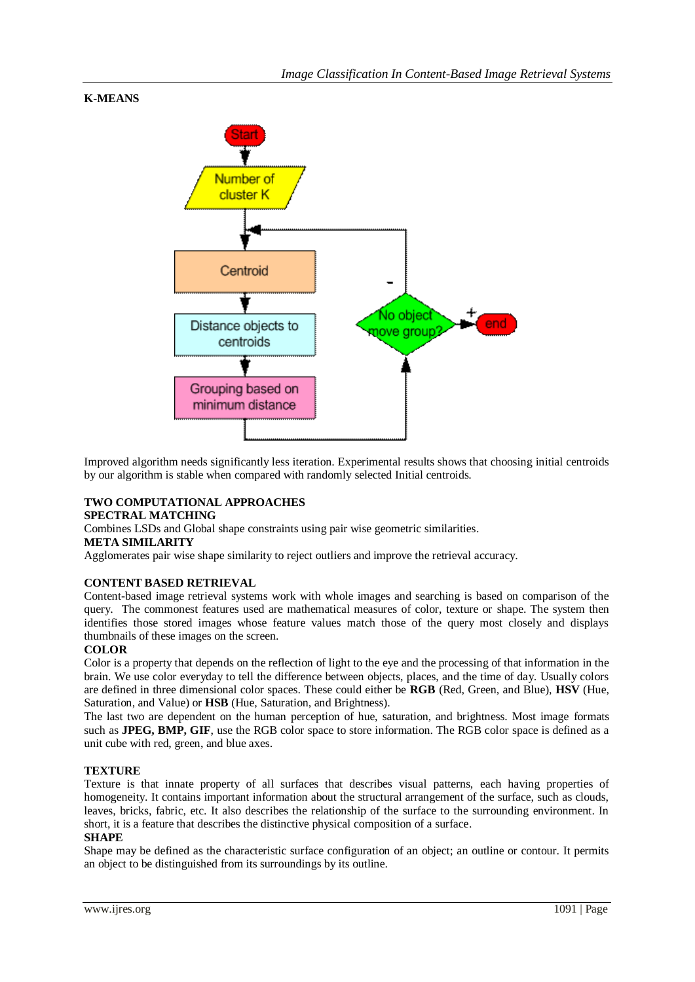# **K-MEANS**



Improved algorithm needs significantly less iteration. Experimental results shows that choosing initial centroids by our algorithm is stable when compared with randomly selected Initial centroids.

# **TWO COMPUTATIONAL APPROACHES**

# **SPECTRAL MATCHING**

Combines LSDs and Global shape constraints using pair wise geometric similarities.

# **META SIMILARITY**

Agglomerates pair wise shape similarity to reject outliers and improve the retrieval accuracy.

# **CONTENT BASED RETRIEVAL**

Content-based image retrieval systems work with whole images and searching is based on comparison of the query. The commonest features used are mathematical measures of color, texture or shape. The system then identifies those stored images whose feature values match those of the query most closely and displays thumbnails of these images on the screen.

# **COLOR**

Color is a property that depends on the reflection of light to the eye and the processing of that information in the brain. We use color everyday to tell the difference between objects, places, and the time of day. Usually colors are defined in three dimensional color spaces. These could either be **RGB** (Red, Green, and Blue), **HSV** (Hue, Saturation, and Value) or **HSB** (Hue, Saturation, and Brightness).

The last two are dependent on the human perception of hue, saturation, and brightness. Most image formats such as **JPEG, BMP, GIF**, use the RGB color space to store information. The RGB color space is defined as a unit cube with red, green, and blue axes.

# **TEXTURE**

Texture is that innate property of all surfaces that describes visual patterns, each having properties of homogeneity. It contains important information about the structural arrangement of the surface, such as clouds, leaves, bricks, fabric, etc. It also describes the relationship of the surface to the surrounding environment. In short, it is a feature that describes the distinctive physical composition of a surface.

# **SHAPE**

Shape may be defined as the characteristic surface configuration of an object; an outline or contour. It permits an object to be distinguished from its surroundings by its outline.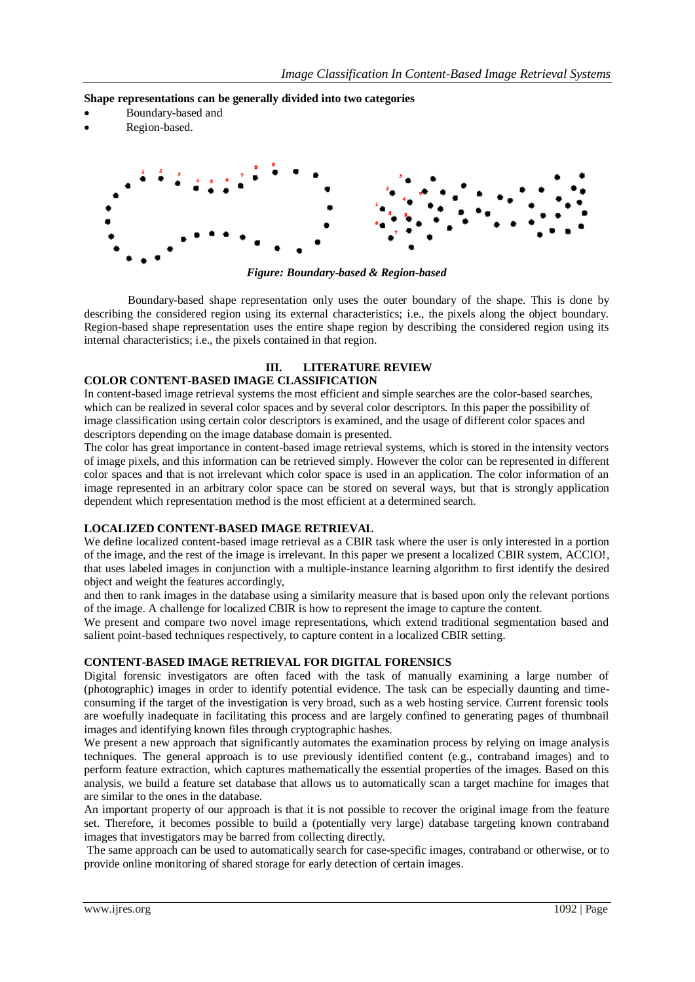**Shape representations can be generally divided into two categories**

- Boundary-based and
- Region-based.



*Figure: Boundary-based & Region-based* 

 Boundary-based shape representation only uses the outer boundary of the shape. This is done by describing the considered region using its external characteristics; i.e., the pixels along the object boundary. Region-based shape representation uses the entire shape region by describing the considered region using its internal characteristics; i.e., the pixels contained in that region.

## **III. LITERATURE REVIEW COLOR CONTENT-BASED IMAGE CLASSIFICATION**

In content-based image retrieval systems the most efficient and simple searches are the color-based searches, which can be realized in several color spaces and by several color descriptors. In this paper the possibility of image classification using certain color descriptors is examined, and the usage of different color spaces and descriptors depending on the image database domain is presented.

The color has great importance in content-based image retrieval systems, which is stored in the intensity vectors of image pixels, and this information can be retrieved simply. However the color can be represented in different color spaces and that is not irrelevant which color space is used in an application. The color information of an image represented in an arbitrary color space can be stored on several ways, but that is strongly application dependent which representation method is the most efficient at a determined search.

# **LOCALIZED CONTENT-BASED IMAGE RETRIEVAL**

We define localized content-based image retrieval as a CBIR task where the user is only interested in a portion of the image, and the rest of the image is irrelevant. In this paper we present a localized CBIR system, ACCIO!, that uses labeled images in conjunction with a multiple-instance learning algorithm to first identify the desired object and weight the features accordingly,

and then to rank images in the database using a similarity measure that is based upon only the relevant portions of the image. A challenge for localized CBIR is how to represent the image to capture the content.

We present and compare two novel image representations, which extend traditional segmentation based and salient point-based techniques respectively, to capture content in a localized CBIR setting.

# **CONTENT-BASED IMAGE RETRIEVAL FOR DIGITAL FORENSICS**

Digital forensic investigators are often faced with the task of manually examining a large number of (photographic) images in order to identify potential evidence. The task can be especially daunting and timeconsuming if the target of the investigation is very broad, such as a web hosting service. Current forensic tools are woefully inadequate in facilitating this process and are largely confined to generating pages of thumbnail images and identifying known files through cryptographic hashes.

We present a new approach that significantly automates the examination process by relying on image analysis techniques. The general approach is to use previously identified content (e.g., contraband images) and to perform feature extraction, which captures mathematically the essential properties of the images. Based on this analysis, we build a feature set database that allows us to automatically scan a target machine for images that are similar to the ones in the database.

An important property of our approach is that it is not possible to recover the original image from the feature set. Therefore, it becomes possible to build a (potentially very large) database targeting known contraband images that investigators may be barred from collecting directly.

The same approach can be used to automatically search for case-specific images, contraband or otherwise, or to provide online monitoring of shared storage for early detection of certain images.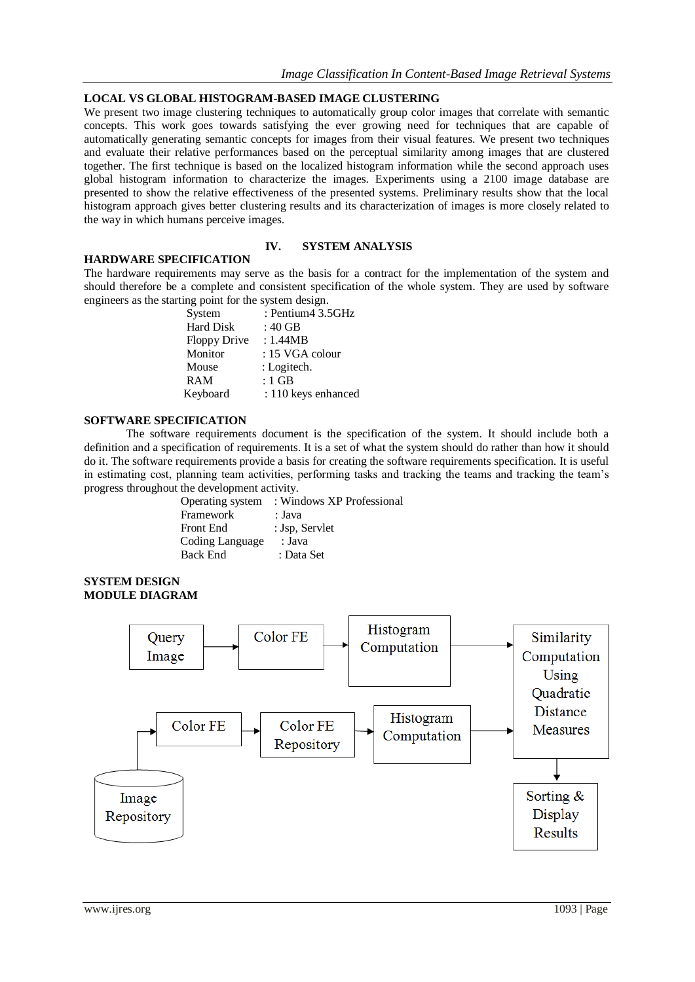# **LOCAL VS GLOBAL HISTOGRAM-BASED IMAGE CLUSTERING**

We present two image clustering techniques to automatically group color images that correlate with semantic concepts. This work goes towards satisfying the ever growing need for techniques that are capable of automatically generating semantic concepts for images from their visual features. We present two techniques and evaluate their relative performances based on the perceptual similarity among images that are clustered together. The first technique is based on the localized histogram information while the second approach uses global histogram information to characterize the images. Experiments using a 2100 image database are presented to show the relative effectiveness of the presented systems. Preliminary results show that the local histogram approach gives better clustering results and its characterization of images is more closely related to the way in which humans perceive images.

# **IV. SYSTEM ANALYSIS**

# **HARDWARE SPECIFICATION**

The hardware requirements may serve as the basis for a contract for the implementation of the system and should therefore be a complete and consistent specification of the whole system. They are used by software engineers as the starting point for the system design.

| System           | : Pentium4 3.5GHz   |
|------------------|---------------------|
| <b>Hard Disk</b> | $: 40$ GB           |
| Floppy Drive     | : $1.44MB$          |
| Monitor          | $: 15$ VGA colour   |
| Mouse            | : Logitech.         |
| <b>RAM</b>       | : 1 GB              |
| Keyboard         | : 110 keys enhanced |

## **SOFTWARE SPECIFICATION**

The software requirements document is the specification of the system. It should include both a definition and a specification of requirements. It is a set of what the system should do rather than how it should do it. The software requirements provide a basis for creating the software requirements specification. It is useful in estimating cost, planning team activities, performing tasks and tracking the teams and tracking the team's progress throughout the development activity.

|                 | Operating system : Windows XP Professional |
|-----------------|--------------------------------------------|
| Framework       | : Java                                     |
| Front End       | : Jsp, Servlet                             |
| Coding Language | : Java                                     |
| Back End        | : Data Set                                 |
|                 |                                            |

## **SYSTEM DESIGN MODULE DIAGRAM**

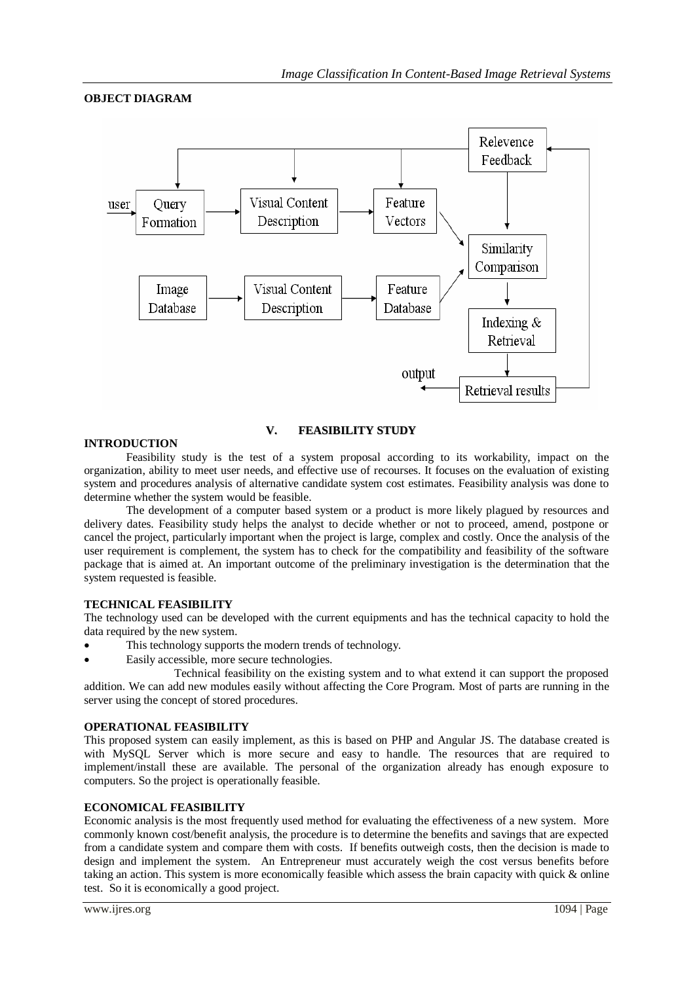# **OBJECT DIAGRAM**



# **V. FEASIBILITY STUDY**

# **INTRODUCTION**

Feasibility study is the test of a system proposal according to its workability, impact on the organization, ability to meet user needs, and effective use of recourses. It focuses on the evaluation of existing system and procedures analysis of alternative candidate system cost estimates. Feasibility analysis was done to determine whether the system would be feasible.

The development of a computer based system or a product is more likely plagued by resources and delivery dates. Feasibility study helps the analyst to decide whether or not to proceed, amend, postpone or cancel the project, particularly important when the project is large, complex and costly. Once the analysis of the user requirement is complement, the system has to check for the compatibility and feasibility of the software package that is aimed at. An important outcome of the preliminary investigation is the determination that the system requested is feasible.

# **TECHNICAL FEASIBILITY**

The technology used can be developed with the current equipments and has the technical capacity to hold the data required by the new system.

- This technology supports the modern trends of technology.
- Easily accessible, more secure technologies.

 Technical feasibility on the existing system and to what extend it can support the proposed addition. We can add new modules easily without affecting the Core Program. Most of parts are running in the server using the concept of stored procedures.

# **OPERATIONAL FEASIBILITY**

This proposed system can easily implement, as this is based on PHP and Angular JS. The database created is with MySQL Server which is more secure and easy to handle. The resources that are required to implement/install these are available. The personal of the organization already has enough exposure to computers. So the project is operationally feasible.

# **ECONOMICAL FEASIBILITY**

Economic analysis is the most frequently used method for evaluating the effectiveness of a new system. More commonly known cost/benefit analysis, the procedure is to determine the benefits and savings that are expected from a candidate system and compare them with costs. If benefits outweigh costs, then the decision is made to design and implement the system. An Entrepreneur must accurately weigh the cost versus benefits before taking an action. This system is more economically feasible which assess the brain capacity with quick & online test. So it is economically a good project.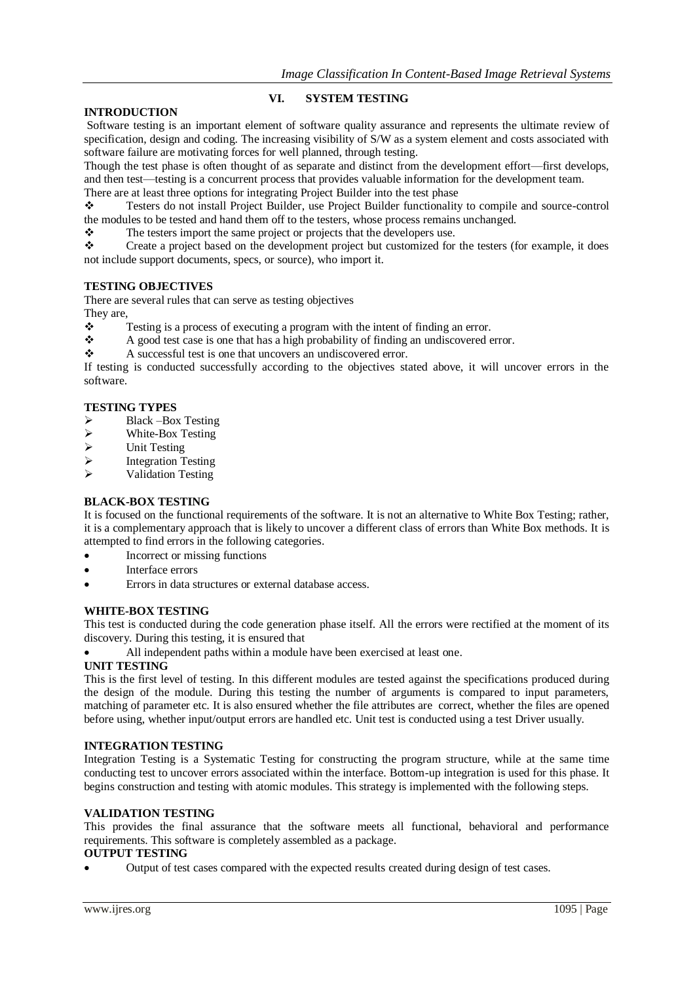# **INTRODUCTION**

# **VI. SYSTEM TESTING**

Software testing is an important element of software quality assurance and represents the ultimate review of specification, design and coding. The increasing visibility of S/W as a system element and costs associated with software failure are motivating forces for well planned, through testing.

Though the test phase is often thought of as separate and distinct from the development effort—first develops, and then test—testing is a concurrent process that provides valuable information for the development team.

There are at least three options for integrating Project Builder into the test phase

 Testers do not install Project Builder, use Project Builder functionality to compile and source-control the modules to be tested and hand them off to the testers, whose process remains unchanged.

 $\mathbf{\hat{P}}$  The testers import the same project or projects that the developers use.

\* Create a project based on the development project but customized for the testers (for example, it does not include support documents, specs, or source), who import it.

# **TESTING OBJECTIVES**

There are several rules that can serve as testing objectives

They are,

 $\bullet$  Testing is a process of executing a program with the intent of finding an error.

 $\bullet$  A good test case is one that has a high probability of finding an undiscovered error.

 $\bullet$  A successful test is one that uncovers an undiscovered error.

If testing is conducted successfully according to the objectives stated above, it will uncover errors in the software.

### **TESTING TYPES**

- $\triangleright$  Black –Box Testing
- $\triangleright$  White-Box Testing<br> $\triangleright$  Unit Testing
- Unit Testing
- > Integration Testing
- > Validation Testing

# **BLACK-BOX TESTING**

It is focused on the functional requirements of the software. It is not an alternative to White Box Testing; rather, it is a complementary approach that is likely to uncover a different class of errors than White Box methods. It is attempted to find errors in the following categories.

- Incorrect or missing functions
- Interface errors
- Errors in data structures or external database access.

# **WHITE-BOX TESTING**

This test is conducted during the code generation phase itself. All the errors were rectified at the moment of its discovery. During this testing, it is ensured that

All independent paths within a module have been exercised at least one.

# **UNIT TESTING**

This is the first level of testing. In this different modules are tested against the specifications produced during the design of the module. During this testing the number of arguments is compared to input parameters, matching of parameter etc. It is also ensured whether the file attributes are correct, whether the files are opened before using, whether input/output errors are handled etc. Unit test is conducted using a test Driver usually.

# **INTEGRATION TESTING**

Integration Testing is a Systematic Testing for constructing the program structure, while at the same time conducting test to uncover errors associated within the interface. Bottom-up integration is used for this phase. It begins construction and testing with atomic modules. This strategy is implemented with the following steps.

# **VALIDATION TESTING**

This provides the final assurance that the software meets all functional, behavioral and performance requirements. This software is completely assembled as a package.

# **OUTPUT TESTING**

Output of test cases compared with the expected results created during design of test cases.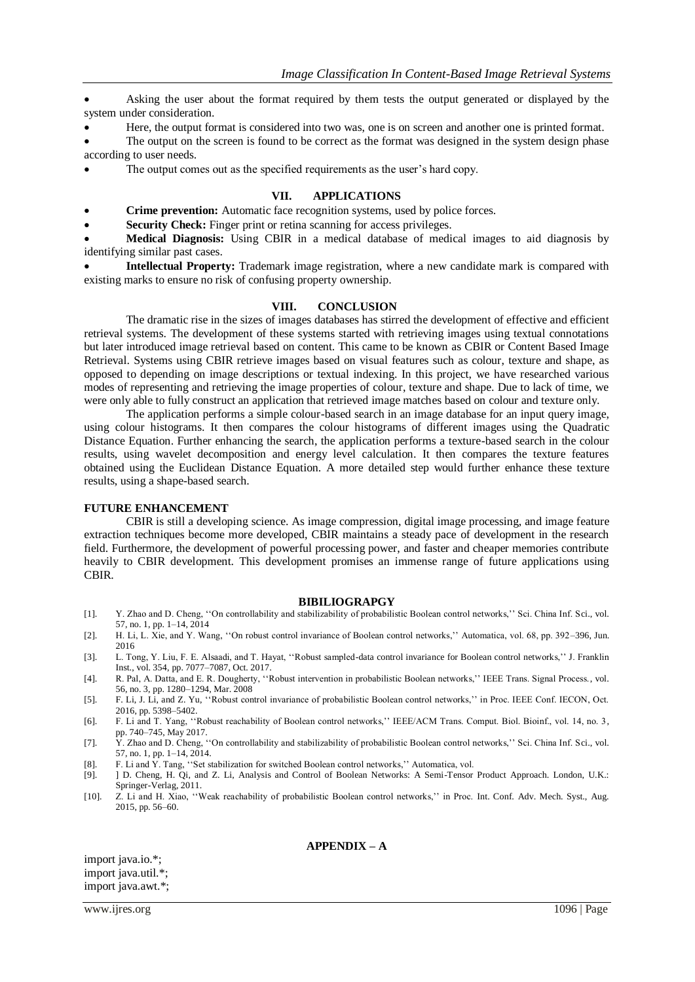- Asking the user about the format required by them tests the output generated or displayed by the system under consideration.
- Here, the output format is considered into two was, one is on screen and another one is printed format.
- The output on the screen is found to be correct as the format was designed in the system design phase according to user needs.
- The output comes out as the specified requirements as the user's hard copy.

## **VII. APPLICATIONS**

- **Crime prevention:** Automatic face recognition systems, used by police forces.
- **Security Check:** Finger print or retina scanning for access privileges.

 **Medical Diagnosis:** Using CBIR in a medical database of medical images to aid diagnosis by identifying similar past cases.

 **Intellectual Property:** Trademark image registration, where a new candidate mark is compared with existing marks to ensure no risk of confusing property ownership.

#### **VIII. CONCLUSION**

The dramatic rise in the sizes of images databases has stirred the development of effective and efficient retrieval systems. The development of these systems started with retrieving images using textual connotations but later introduced image retrieval based on content. This came to be known as CBIR or Content Based Image Retrieval. Systems using CBIR retrieve images based on visual features such as colour, texture and shape, as opposed to depending on image descriptions or textual indexing. In this project, we have researched various modes of representing and retrieving the image properties of colour, texture and shape. Due to lack of time, we were only able to fully construct an application that retrieved image matches based on colour and texture only.

The application performs a simple colour-based search in an image database for an input query image, using colour histograms. It then compares the colour histograms of different images using the Quadratic Distance Equation. Further enhancing the search, the application performs a texture-based search in the colour results, using wavelet decomposition and energy level calculation. It then compares the texture features obtained using the Euclidean Distance Equation. A more detailed step would further enhance these texture results, using a shape-based search.

#### **FUTURE ENHANCEMENT**

CBIR is still a developing science. As image compression, digital image processing, and image feature extraction techniques become more developed, CBIR maintains a steady pace of development in the research field. Furthermore, the development of powerful processing power, and faster and cheaper memories contribute heavily to CBIR development. This development promises an immense range of future applications using CBIR.

#### **BIBILIOGRAPGY**

- [1]. Y. Zhao and D. Cheng, ''On controllability and stabilizability of probabilistic Boolean control networks,'' Sci. China Inf. Sci., vol. 57, no. 1, pp. 1–14, 2014
- [2]. H. Li, L. Xie, and Y. Wang, ''On robust control invariance of Boolean control networks,'' Automatica, vol. 68, pp. 392–396, Jun. 2016
- [3]. L. Tong, Y. Liu, F. E. Alsaadi, and T. Hayat, ''Robust sampled-data control invariance for Boolean control networks,'' J. Franklin Inst., vol. 354, pp. 7077–7087, Oct. 2017.
- [4]. R. Pal, A. Datta, and E. R. Dougherty, ''Robust intervention in probabilistic Boolean networks,'' IEEE Trans. Signal Process., vol. 56, no. 3, pp. 1280–1294, Mar. 2008
- [5]. F. Li, J. Li, and Z. Yu, ''Robust control invariance of probabilistic Boolean control networks,'' in Proc. IEEE Conf. IECON, Oct. 2016, pp. 5398–5402.
- [6]. F. Li and T. Yang, ''Robust reachability of Boolean control networks,'' IEEE/ACM Trans. Comput. Biol. Bioinf., vol. 14, no. 3, pp. 740–745, May 2017.
- [7]. Y. Zhao and D. Cheng, ''On controllability and stabilizability of probabilistic Boolean control networks,'' Sci. China Inf. Sci., vol. 57, no. 1, pp. 1–14, 2014.
- [8]. F. Li and Y. Tang, ''Set stabilization for switched Boolean control networks,'' Automatica, vol.
- [9]. ] D. Cheng, H. Qi, and Z. Li, Analysis and Control of Boolean Networks: A Semi-Tensor Product Approach. London, U.K.: Springer-Verlag, 2011.
- [10]. Z. Li and H. Xiao, ''Weak reachability of probabilistic Boolean control networks,'' in Proc. Int. Conf. Adv. Mech. Syst., Aug. 2015, pp. 56–60.

# **APPENDIX – A**

import java.io.\*; import java.util.\*; import java.awt.\*;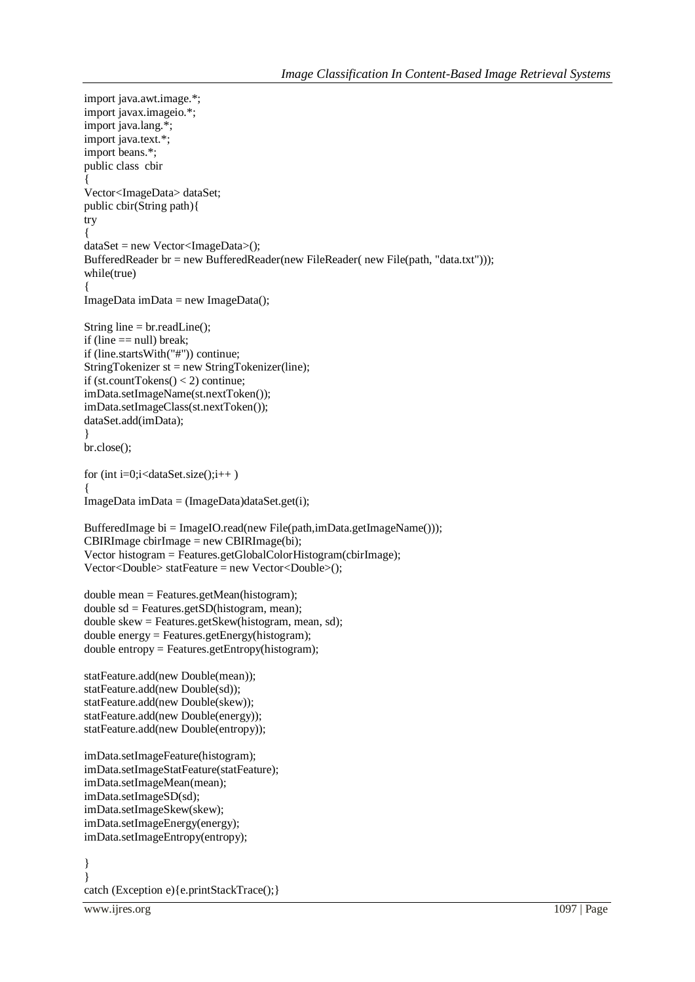```
import java.awt.image.*;
import javax.imageio.*;
import java.lang.*;
import java.text.*;
import beans.*;
public class cbir
{
Vector<ImageData> dataSet;
public cbir(String path){
try
{
dataSet = new Vector<ImageData>();
BufferedReader br = new BufferedReader(new FileReader( new File(path, "data.txt")));
while(true)
{
ImageData imData = new ImageData();String line = br.readLine();
if (line == null) break;
if (line.startsWith("#")) continue;
StringTokenizer st = new StringTokenizer(line);
if (st.countTokens() < 2) continue;
imData.setImageName(st.nextToken());
imData.setImageClass(st.nextToken());
dataSet.add(imData);
}
br.close();
for (int i=0;i<dataSet.size(j; i++){
ImageData imData = (ImageData)dataSet.get(i);
BufferedImage bi = ImageIO.read(new File(path,imData.getImageName()));
CBIRImage cbirImage = new CBIRImage(bi);
Vector histogram = Features.getGlobalColorHistogram(cbirImage);
Vector<Double> statFeature = new Vector<Double>();
double mean = Features.getMean(histogram);
double sd = \text{Features.getSD}(\text{histogram}, \text{mean});double skew = Features.getSkew(histogram, mean, sd);
double energy = Features.getEnergy(histogram);
double entropy = Features.getEntropy(histogram);
statFeature.add(new Double(mean));
statFeature.add(new Double(sd));
statFeature.add(new Double(skew));
statFeature.add(new Double(energy));
statFeature.add(new Double(entropy));
imData.setImageFeature(histogram);
imData.setImageStatFeature(statFeature);
imData.setImageMean(mean);
imData.setImageSD(sd);
imData.setImageSkew(skew);
imData.setImageEnergy(energy);
imData.setImageEntropy(entropy);
}
}
```
catch (Exception e){e.printStackTrace();}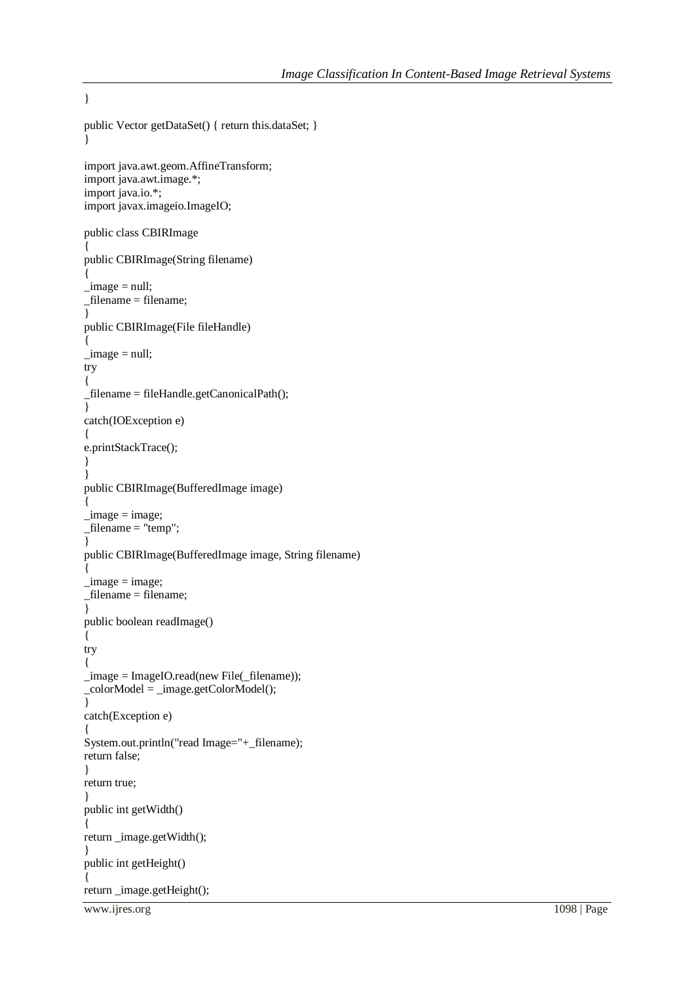```
public Vector getDataSet() { return this.dataSet; }
}
import java.awt.geom.AffineTransform;
import java.awt.image.*;
import java.io.*;
import javax.imageio.ImageIO;
public class CBIRImage
{
public CBIRImage(String filename)
{
\text{image} = \text{null};_}
public CBIRImage(File fileHandle)
{
\text{image} = \text{null};try
{
_filename = fileHandle.getCanonicalPath();
}
catch(IOException e)
{
e.printStackTrace();
}
}
public CBIRImage(BufferedImage image)
{
\text{image} = \text{image};_[filename = "temp";
}
public CBIRImage(BufferedImage image, String filename)
{
\text{image} = \text{image};filename = filename;}
public boolean readImage()
{
try
{
_image = ImageIO.read(new File(_filename));
_colorModel = _image.getColorModel();
}
catch(Exception e)
{
System.out.println("read Image="+_filename);
return false;
}
return true;
}
public int getWidth()
{
return image.getWidth();
}
public int getHeight()
{
return image.getHeight();
```
www.ijres.org 1098 | Page 1098 | Page 1098 | Page 1098 | Page 1098 | Page 1098 | Page 1098 | Page 1098 | Page 1098 | Page 1098 | Page 1098 | Page 1098 | Page 1098 | Page 1098 | Page 1098 | Page 1098 | Page 1098 | Page 1098

}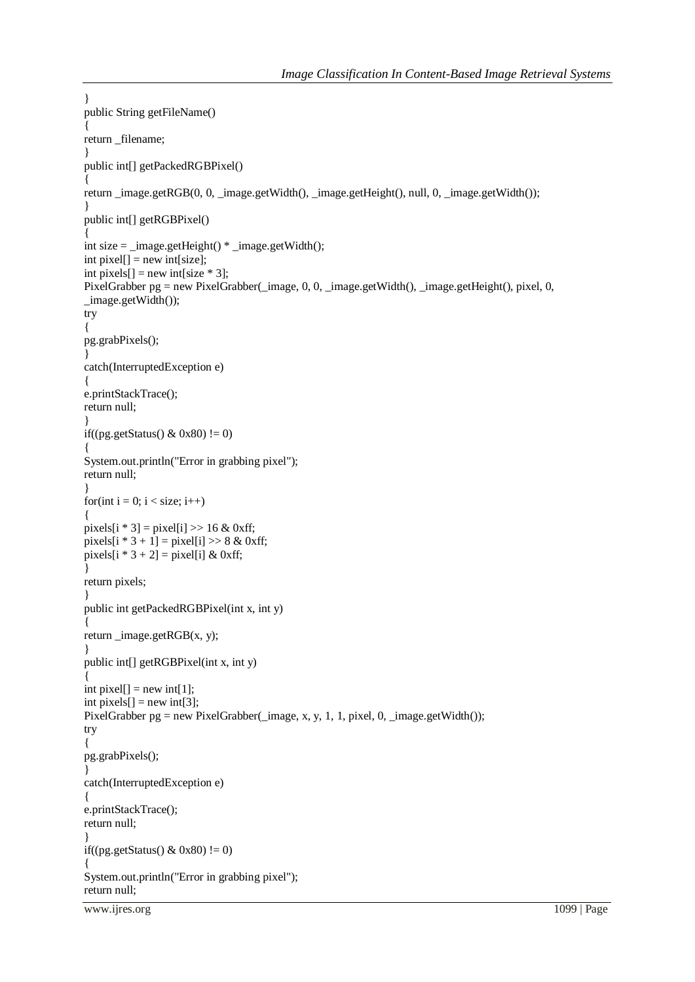```
}
public String getFileName()
{
return _filename;
}
public int[] getPackedRGBPixel()
{
return _image.getRGB(0, 0, _image.getWidth(), _image.getHeight(), null, 0, _image.getWidth());
}
public int[] getRGBPixel()
{
int size = _image.getHeight() * _image.getWidth();
int pixel[] = new int[size];int pixels[] = new int[size * 3];
PixelGrabber pg = new PixelGrabber(_image, 0, 0, _image.getWidth(), _image.getHeight(), pixel, 0,
_image.getWidth());
try
{
pg.grabPixels();
}
catch(InterruptedException e)
{
e.printStackTrace();
return null;
}
if((pg.getStatus() & 0x80) != 0)
{
System.out.println("Error in grabbing pixel");
return null;
}
for(int i = 0; i < size; i++)
{
pixels[i * 3] = pixel[i] >> 16 & 0xff;
pixels[i * 3 + 1] = pixel[i] >> 8 & 0xff;pixels[i * 3 + 2] = pixel[i] & 0xff;
}
return pixels;
}
public int getPackedRGBPixel(int x, int y)
{
return _image.getRGB(x, y);
}
public int[] getRGBPixel(int x, int y)
{
int pixel[] = new int[1];
int pixels[] = new int[3];PixelGrabber pg = new PixelGrabber(_image, x, y, 1, 1, pixel, 0, _image.getWidth());
try
{
pg.grabPixels();
}
catch(InterruptedException e)
{
e.printStackTrace();
return null;
}
if((pg.getStatus() & 0x80) != 0)
{
System.out.println("Error in grabbing pixel");
return null;
```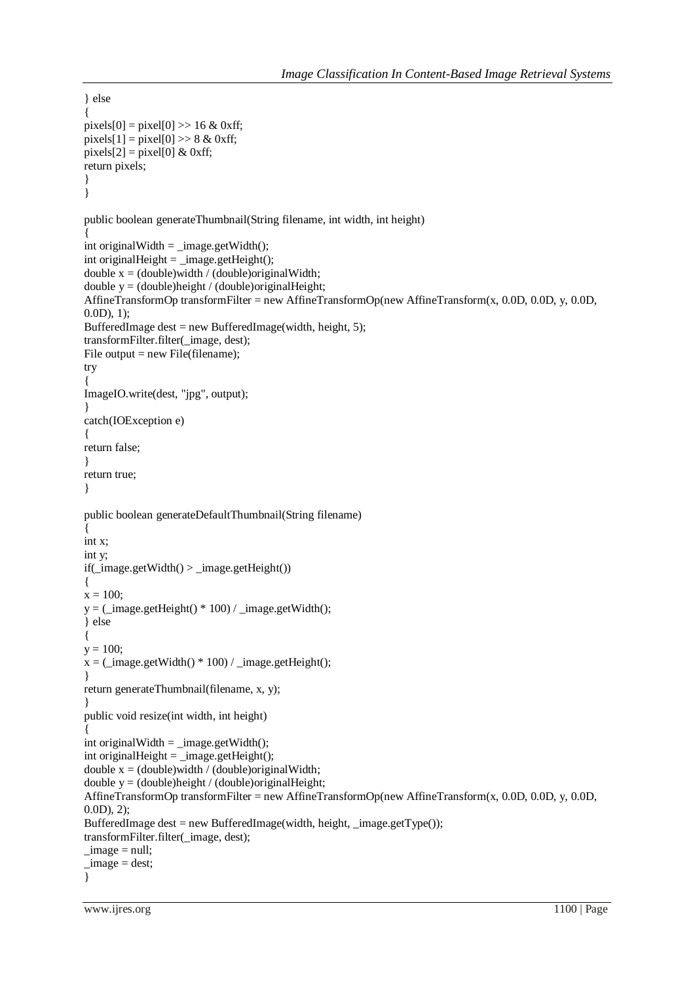```
} else
\{pixels[0] = pixel[0] >> 16 & 0xff;
pixels[1] = pixel[0] >> 8 & 0xff;pixels[2] = pixel[0] & 0xff;
return pixels;
}
}
public boolean generateThumbnail(String filename, int width, int height)
{
int originalWidth = _image.getWidth();
int originalHeight = _image.getHeight();
double x = (double)width / (double)originalWidth;double y = (double)height / (double) originalHeight;AffineTransformOp transformFilter = new AffineTransformOp(new AffineTransform(x, 0.0D, 0.0D, y, 0.0D, 
0.0D), 1);
BufferedImage dest = new BufferedImage(width, height, 5);
transformFilter.filter(_image, dest);
File output = new File(filename);
try
{
ImageIO.write(dest, "jpg", output);
}
catch(IOException e)
{
return false;
}
return true;
}
public boolean generateDefaultThumbnail(String filename)
{
int x;
int y;
if(\text{image.getWidth}() > \text{image.getHeight}()\left\{ \right\}x = 100;
y = ( image.getHeight() * 100) / image.getWidth();
} else
\left\{ \right.y = 100:
x = (\text{image.getWidth}() * 100) / \text{image.getHeight}();
}
return generateThumbnail(filename, x, y);
}
public void resize(int width, int height)
{
int originalWidth = _image.getWidth();
int originalHeight = _image.getHeight();
double x = (double)width / (double)originalWidth;double y = (double)height / (double) originalHeight;AffineTransformOp transformFilter = new AffineTransformOp(new AffineTransform(x, 0.0D, 0.0D, y, 0.0D, 
0.0D), 2);
BufferedImage dest = new BufferedImage(width, height, _image.getType());
transformFilter.filter(_image, dest);
image = null;image = dest;}
```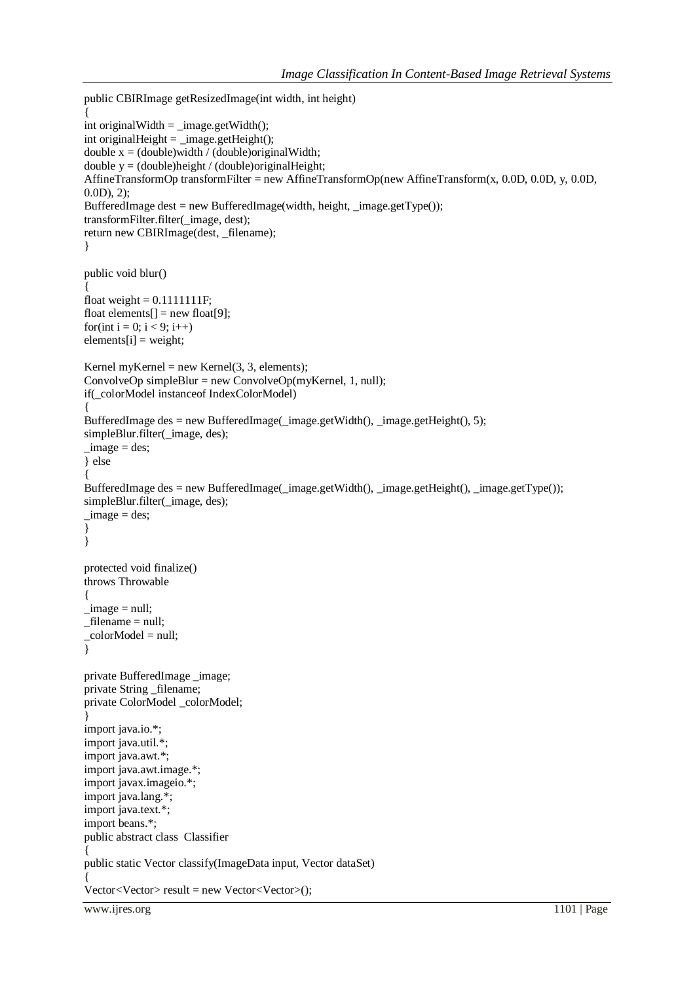```
public CBIRImage getResizedImage(int width, int height)
\left\{ \right.int originalWidth = _image.getWidth();
int originalHeight = \text{image.getHeight}();
double x = (double)width / (double)originalWidth;double y = (double)height / (double) originalHeight;AffineTransformOp transformFilter = new AffineTransformOp(new AffineTransform(x, 0.0D, 0.0D, y, 0.0D, 
0.0D), 2);
BufferedImage dest = new BufferedImage(width, height, _image.getType());
transformFilter.filter(_image, dest);
return new CBIRImage(dest, _filename);
}
public void blur()
{
float weight = 0.1111111F;
float elements[] = new float[9];
for(int i = 0; i < 9; i++)
elements[i] = weight;Kernel myKernel = new Kernel(3, 3, elements);
ConvolveOp simpleBlur = new ConvolveOp(myKernel, 1, null);
if(_colorModel instanceof IndexColorModel)
{
BufferedImage des = new BufferedImage(\text{image.getWidth}), \text{image.getHeight}), 5);
simpleBlur.filter(_image, des);
\text{image} = \text{des};} else
{
BufferedImage des = new BufferedImage(\{image.getWidth(), \{image.getHeight(), \{image.getType(),\}\}\});
simpleBlur.filter(_image, des);
\text{image} = \text{des};}
}
protected void finalize()
throws Throwable
{
\text{image} = \text{null};_filename = null;
\text{\_color}colorModel = null;}
private BufferedImage _image;
private String _filename;
private ColorModel _colorModel;
}
import java.io.*;
import java.util.*;
import java.awt.*;
import java.awt.image.*;
import javax.imageio.*;
import java.lang.*;
import java.text.*;
import beans.*;
public abstract class Classifier
{
public static Vector classify(ImageData input, Vector dataSet)
{
Vector<Vector> result = new Vector<Vector>:
```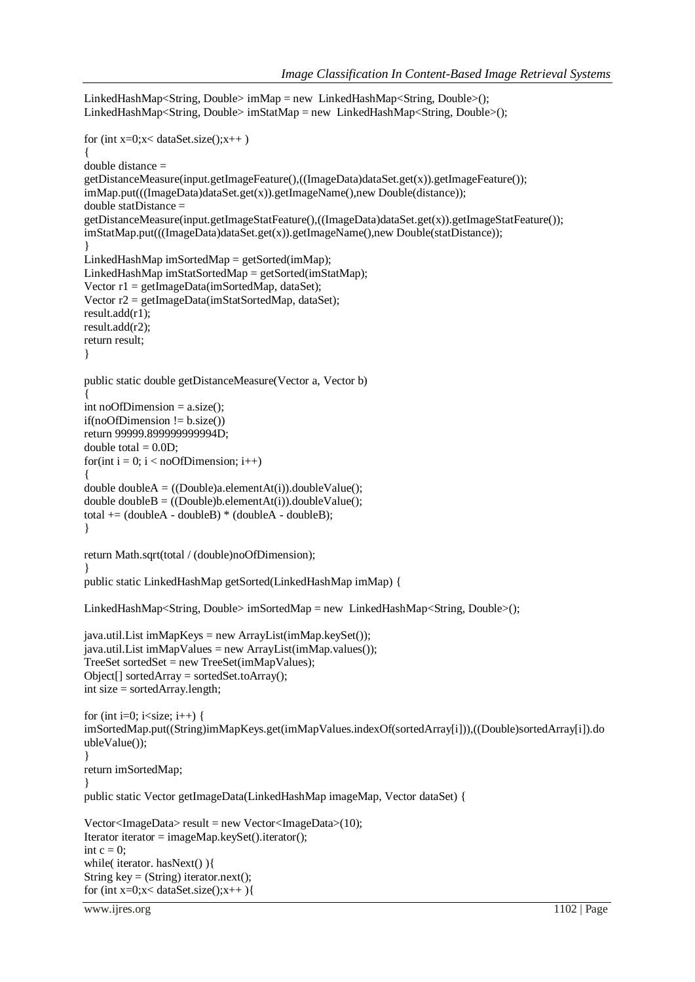LinkedHashMap<String, Double> imMap = new LinkedHashMap<String, Double>(); LinkedHashMap<String, Double> imStatMap = new LinkedHashMap<String, Double>();

```
for (int x=0; x< dataSet.size();x++)
{
double distance = 
getDistanceMeasure(input.getImageFeature(),((ImageData)dataSet.get(x)).getImageFeature());
imMap.put(((ImageData)dataSet.get(x)).getImageName(),new Double(distance));
double statDistance = 
getDistanceMeasure(input.getImageStatFeature(),((ImageData)dataSet.get(x)).getImageStatFeature());
imStatMap.put(((ImageData)dataSet.get(x)).getImageName(),new Double(statDistance));
}
LinkedHashMap imSortedMap = getSorted(imMap);
LinkedHashMap imStatSortedMap = getSorted(imStatMap);
Vector r1 = getImageData(imSortedMap, dataSet);
Vector r2 = getImageData(imStatSortedMap, dataSet);
result.add(r1);
result.add(r2);
return result;
}
public static double getDistanceMeasure(Vector a, Vector b)
{
int noOfDimension = a.size();
if(noOfDimension != b.size())return 99999.899999999994D;
double total = 0.0D;
for(int i = 0; i < noOfDimension; i++)
{
double doubleA = ((Double)a.elementAt(i)).double Value(i);
double doubleB = ((Double)b.elementAt(i)).doubleValue();
total += (doubleA - doubleB) * (doubleA - doubleB);
}
return Math.sqrt(total / (double)noOfDimension);
}
public static LinkedHashMap getSorted(LinkedHashMap imMap) {
LinkedHashMap<String, Double> imSortedMap = new LinkedHashMap<String, Double>();
java.util.List imMapKeys = new ArrayList(imMap.keySet();
java.util.List imMapValues = new ArrayList(imMap.values());TreeSet sortedSet = new TreeSet(imMapValues);
Object[] sortedArray = sortedSet.toArray();
int size = sortedArray.length;
for (int i=0; i<size; i++) {
imSortedMap.put((String)imMapKeys.get(imMapValues.indexOf(sortedArray[i])),((Double)sortedArray[i]).do
ubleValue());
}
return imSortedMap;
}
public static Vector getImageData(LinkedHashMap imageMap, Vector dataSet) {
Vector < ImageData > result = new Vector < ImageData > (10);Iterator iterator = imageMap.keySet().iterator();
int c = 0:
while( iterator. hasNext() ){
String key = (String) iterator.next();
for (int x=0;x< dataSet.size();x++){
```
www.ijres.org 1102 | Page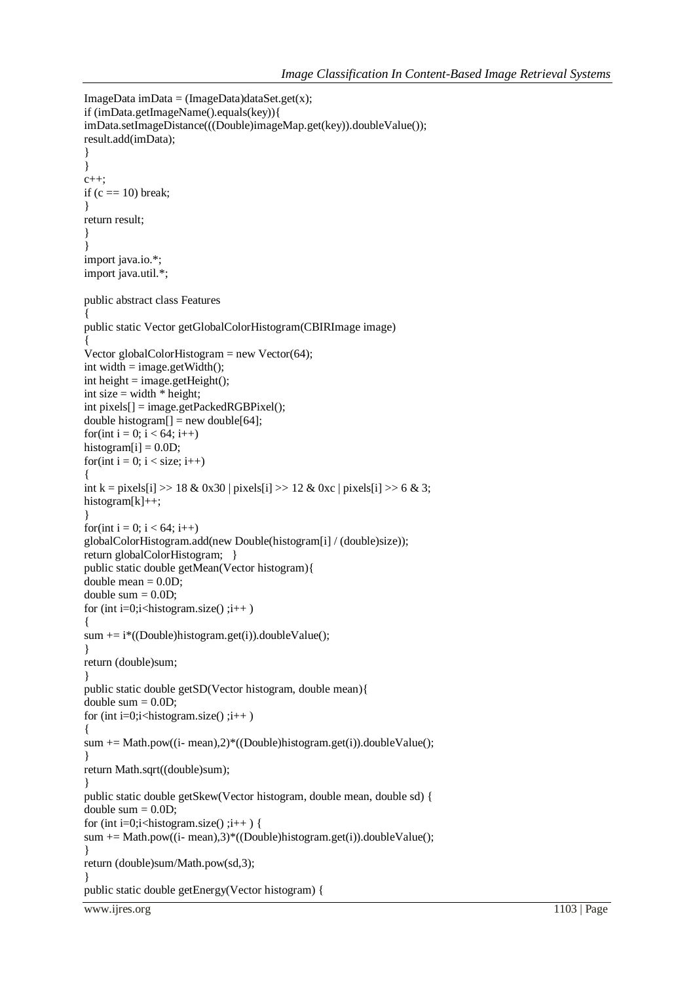```
if (imData.getImageName().equals(key)){ 
imData.setImageDistance(((Double)imageMap.get(key)).doubleValue());
result.add(imData);
}
}
c++;
if (c == 10) break;
}
return result;
}
}
import java.io.*;
import java.util.*;
public abstract class Features
{
public static Vector getGlobalColorHistogram(CBIRImage image)
{
Vector globalColorHistogram = new Vector(64);
int width = image.getWidth();
int height = image.getHeight();int size = width * height;
int pixels[] = image.getPackedRGBPixel();
double histogram[] = new double[64];
for(int i = 0; i < 64; i++)
histogram[i] = 0.0D;for(int i = 0; i < size; i++)
{
int k = pixels[i] >> 18 & 0x30 | pixels[i] >> 12 & 0xc | pixels[i] >> 6 & 3;
histogram[k]++;
}
for(int i = 0; i < 64; i++)
globalColorHistogram.add(new Double(histogram[i] / (double)size));
return globalColorHistogram; }
public static double getMean(Vector histogram){
double mean = 0.0D;
double sum = 0.0D;
for (int i=0;i<histogram.size();i++)
\left\{ \right.sum += i*((Double)histogram.get(i)).doubleValue();
}
return (double)sum;
}
public static double getSD(Vector histogram, double mean){
double sum = 0.0D;
for (int i=0;i<histogram.size();i++)
{
sum += Math.pow((i- mean),2)*((Double)histogram.get(i)).doubleValue();
}
return Math.sqrt((double)sum);
}
public static double getSkew(Vector histogram, double mean, double sd) {
double sum = 0.0D;
for (int i=0;i<histogram.size();i++ ) {
sum += Math.pow((i- mean),3)*((Double)histogram.get(i)).doubleValue();
}
return (double)sum/Math.pow(sd,3);
}
public static double getEnergy(Vector histogram) {
```
ImageData imData =  $(ImageData)dataSet.get(x);$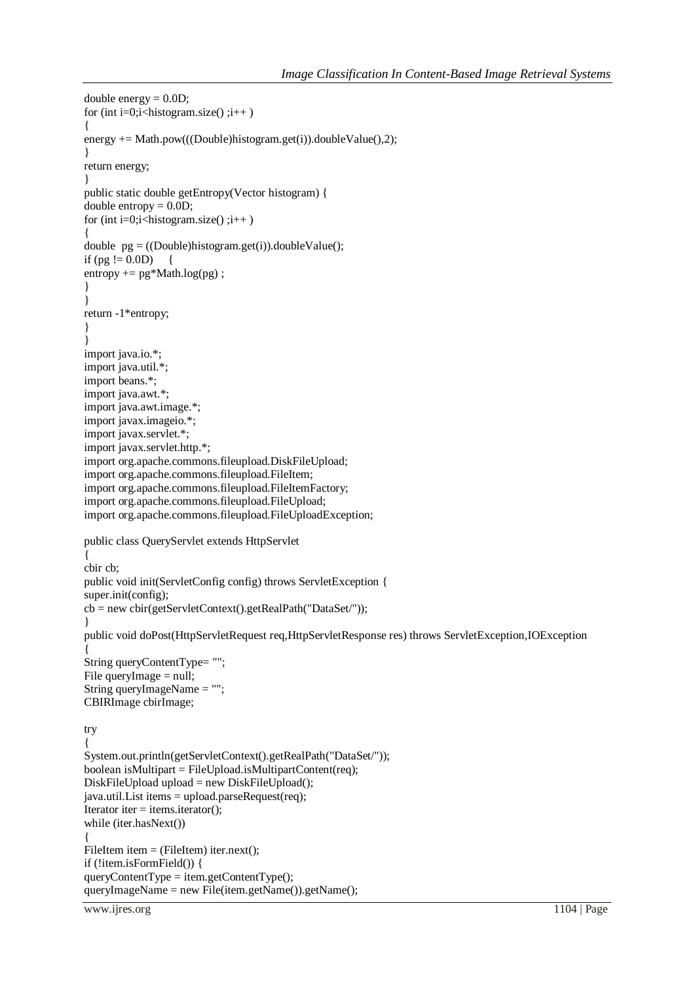```
double energy = 0.0D;
for (int i=0;i<histogram.size();i++)
{
energy += Math.pow(((Double)histogram.get(i)).doubleValue(),2);
}
return energy;
}
public static double getEntropy(Vector histogram) {
double entropy = 0.0D;
for (int i=0;i<histogram.size();i++)
{
double pg = ((Double)histogram.get(i)).doubleValue();if (pg != 0.0D)
entropy += pg*Math.log(pg) ;
}
}
return -1*entropy;
}
}
import java.io.*;
import java.util.*;
import beans.*;
import java.awt.*;
import java.awt.image.*;
import javax.imageio.*;
import javax.servlet.*;
import javax.servlet.http.*;
import org.apache.commons.fileupload.DiskFileUpload;
import org.apache.commons.fileupload.FileItem;
import org.apache.commons.fileupload.FileItemFactory;
import org.apache.commons.fileupload.FileUpload;
import org.apache.commons.fileupload.FileUploadException;
public class QueryServlet extends HttpServlet
{
cbir cb;
public void init(ServletConfig config) throws ServletException {
super.init(config);
cb = new \text{cbir}(\text{getServletContext}().getRealPath("DataSet/"));
}
public void doPost(HttpServletRequest req,HttpServletResponse res) throws ServletException,IOException
{
String queryContentType= "";
File queryImage = null;
String queryImageName = "";
CBIRImage cbirImage;
try
{
System.out.println(getServletContext().getRealPath("DataSet/"));
boolean isMultipart = FileUpload.isMultipartContent(req);
DiskFileUpload upload = new DiskFileUpload();
java.util.List items = upload.parseRequest(req);
Iterator iter = items.iterator();
while (iter.hasNext())
{
FileItem item = (FileItem) iter.next();
if (!item.isFormField()) {
queryContentType = item.getContentType();
queryImageName = new File(item.getName()).getName();
```